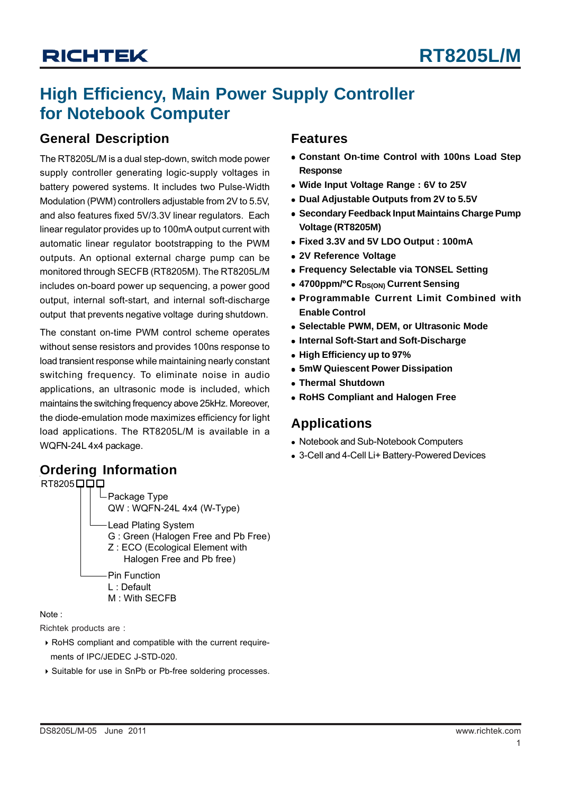### **High Efficiency, Main Power Supply Controller for Notebook Computer**

### **General Description**

The RT8205L/M is a dual step-down, switch mode power supply controller generating logic-supply voltages in battery powered systems. It includes two Pulse-Width Modulation (PWM) controllers adjustable from 2V to 5.5V, and also features fixed 5V/3.3V linear regulators. Each linear regulator provides up to 100mA output current with automatic linear regulator bootstrapping to the PWM outputs. An optional external charge pump can be monitored through SECFB (RT8205M). The RT8205L/M includes on-board power up sequencing, a power good output, internal soft-start, and internal soft-discharge output that prevents negative voltage during shutdown.

The constant on-time PWM control scheme operates without sense resistors and provides 100ns response to load transient response while maintaining nearly constant switching frequency. To eliminate noise in audio applications, an ultrasonic mode is included, which maintains the switching frequency above 25kHz. Moreover, the diode-emulation mode maximizes efficiency for light load applications. The RT8205L/M is available in a WQFN-24L 4x4 package.

### **Ordering Information**

Package Type QW : WQFN-24L 4x4 (W-Type) Lead Plating System G : Green (Halogen Free and Pb Free) Z : ECO (Ecological Element with Halogen Free and Pb free)  $RT8205 $\square$$ Pin Function L : Default M : With SECFB

Note :

Richtek products are :

- ` RoHS compliant and compatible with the current require ments of IPC/JEDEC J-STD-020.
- ` Suitable for use in SnPb or Pb-free soldering processes.

### **Features**

- $\bullet$  **Constant On-time Control with 100ns Load Step Response**
- <sup>z</sup> **Wide Input Voltage Range : 6V to 25V**
- **Dual Adjustable Outputs from 2V to 5.5V**
- **Secondary Feedback Input Maintains Charge Pump Voltage (RT8205M)**
- <sup>z</sup> **Fixed 3.3V and 5V LDO Output : 100mA**
- $\bullet$  **2V Reference Voltage**
- **Frequency Selectable via TONSEL Setting**
- 4700ppm/<sup>o</sup>C R<sub>DS(ON)</sub> Current Sensing
- <sup>z</sup> **Programmable Current Limit Combined with Enable Control**
- <sup>z</sup> **Selectable PWM, DEM, or Ultrasonic Mode**
- **Internal Soft-Start and Soft-Discharge**
- **High Efficiency up to 97%**
- $\bullet$  **5mW Quiescent Power Dissipation**
- **Thermal Shutdown**
- **RoHS Compliant and Halogen Free**

### **Applications**

- Notebook and Sub-Notebook Computers
- 3-Cell and 4-Cell Li+ Battery-Powered Devices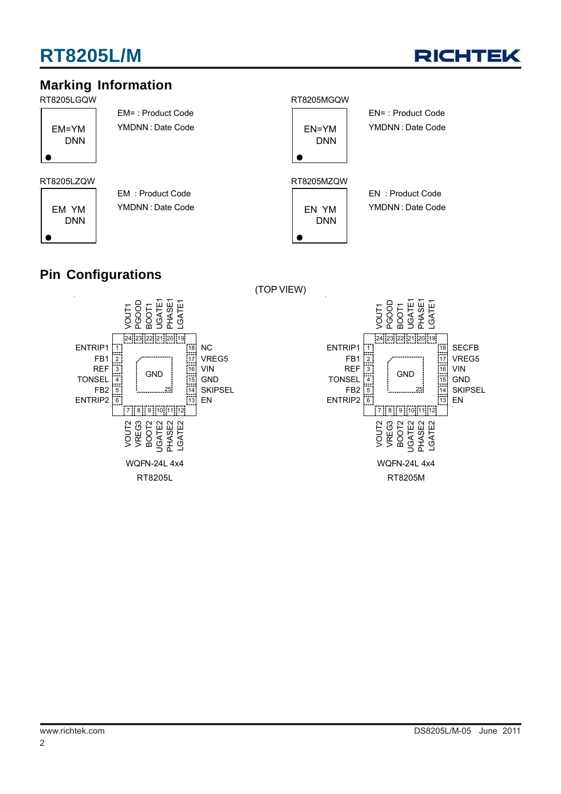

### **Marking Information**

RT8205LGQW RT8205MGQW



EM= : Product Code YMDNN : Date Code

EM YM DNN EM : Product Code YMDNN : Date Code



(TOP VIEW)

EN= : Product Code YMDNN : Date Code

EN : Product Code YMDNN : Date Code

### **Pin Configurations**



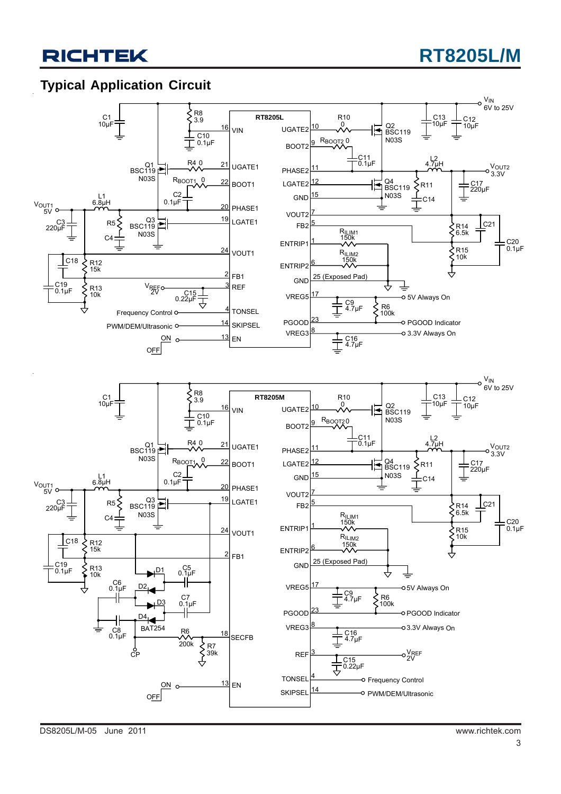### **Typical Application Circuit**

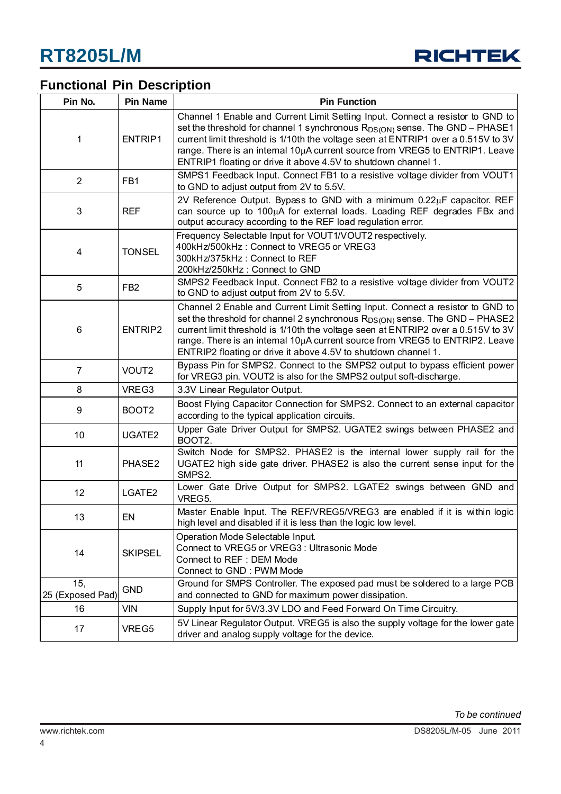

### **Functional Pin Description**

| Pin No.                 | <b>Pin Name</b>    | <b>Pin Function</b>                                                                                                                                                                                                                                                                                                                                                                                      |  |  |
|-------------------------|--------------------|----------------------------------------------------------------------------------------------------------------------------------------------------------------------------------------------------------------------------------------------------------------------------------------------------------------------------------------------------------------------------------------------------------|--|--|
| 1                       | ENTRIP1            | Channel 1 Enable and Current Limit Setting Input. Connect a resistor to GND to<br>set the threshold for channel 1 synchronous $R_{DS(ON)}$ sense. The GND - PHASE1<br>current limit threshold is 1/10th the voltage seen at ENTRIP1 over a 0.515V to 3V<br>range. There is an intemal 10µA current source from VREG5 to ENTRIP1. Leave<br>ENTRIP1 floating or drive it above 4.5V to shutdown channel 1. |  |  |
| $\overline{2}$          | FB1                | SMPS1 Feedback Input. Connect FB1 to a resistive voltage divider from VOUT1<br>to GND to adjust output from 2V to 5.5V.                                                                                                                                                                                                                                                                                  |  |  |
| 3                       | <b>REF</b>         | 2V Reference Output. Bypass to GND with a minimum 0.22µF capacitor. REF<br>can source up to 100µA for external loads. Loading REF degrades FBx and<br>output accuracy according to the REF load regulation error.                                                                                                                                                                                        |  |  |
| 4                       | <b>TONSEL</b>      | Frequency Selectable Input for VOUT1/VOUT2 respectively.<br>400kHz/500kHz: Connect to VREG5 or VREG3<br>300kHz/375kHz: Connect to REF<br>200kHz/250kHz: Connect to GND                                                                                                                                                                                                                                   |  |  |
| 5                       | FB <sub>2</sub>    | SMPS2 Feedback Input. Connect FB2 to a resistive voltage divider from VOUT2<br>to GND to adjust output from 2V to 5.5V.                                                                                                                                                                                                                                                                                  |  |  |
| 6                       | ENTRIP2            | Channel 2 Enable and Current Limit Setting Input. Connect a resistor to GND to<br>set the threshold for channel 2 synchronous $R_{DS(ON)}$ sense. The GND – PHASE2<br>current limit threshold is 1/10th the voltage seen at ENTRIP2 over a 0.515V to 3V<br>range. There is an intemal 10µA current source from VREG5 to ENTRIP2. Leave<br>ENTRIP2 floating or drive it above 4.5V to shutdown channel 1. |  |  |
| $\overline{7}$          | VOUT <sub>2</sub>  | Bypass Pin for SMPS2. Connect to the SMPS2 output to bypass efficient power<br>for VREG3 pin. VOUT2 is also for the SMPS2 output soft-discharge.                                                                                                                                                                                                                                                         |  |  |
| 8                       | VREG3              | 3.3V Linear Regulator Output.                                                                                                                                                                                                                                                                                                                                                                            |  |  |
| 9                       | BOOT <sub>2</sub>  | Boost Flying Capacitor Connection for SMPS2. Connect to an external capacitor<br>according to the typical application circuits.                                                                                                                                                                                                                                                                          |  |  |
| 10                      | UGATE2             | Upper Gate Driver Output for SMPS2. UGATE2 swings between PHASE2 and<br>BOOT2.                                                                                                                                                                                                                                                                                                                           |  |  |
| 11                      | PHASE2             | Switch Node for SMPS2. PHASE2 is the internal lower supply rail for the<br>UGATE2 high side gate driver. PHASE2 is also the current sense input for the<br>SMPS2.                                                                                                                                                                                                                                        |  |  |
| 12                      | LGATE <sub>2</sub> | Lower Gate Drive Output for SMPS2. LGATE2 swings between GND and<br>VREG5.                                                                                                                                                                                                                                                                                                                               |  |  |
| 13                      | EN                 | Master Enable Input. The REF/VREG5/VREG3 are enabled if it is within logic<br>high level and disabled if it is less than the logic low level.                                                                                                                                                                                                                                                            |  |  |
| 14                      | <b>SKIPSEL</b>     | Operation Mode Selectable Input.<br>Connect to VREG5 or VREG3 : Ultrasonic Mode<br>Connect to REF : DEM Mode<br>Connect to GND: PWM Mode                                                                                                                                                                                                                                                                 |  |  |
| 15,<br>25 (Exposed Pad) | <b>GND</b>         | Ground for SMPS Controller. The exposed pad must be soldered to a large PCB<br>and connected to GND for maximum power dissipation.                                                                                                                                                                                                                                                                       |  |  |
| 16                      | <b>VIN</b>         | Supply Input for 5V/3.3V LDO and Feed Forward On Time Circuitry.                                                                                                                                                                                                                                                                                                                                         |  |  |
| 17                      | VREG5              | 5V Linear Regulator Output. VREG5 is also the supply voltage for the lower gate<br>driver and analog supply voltage for the device.                                                                                                                                                                                                                                                                      |  |  |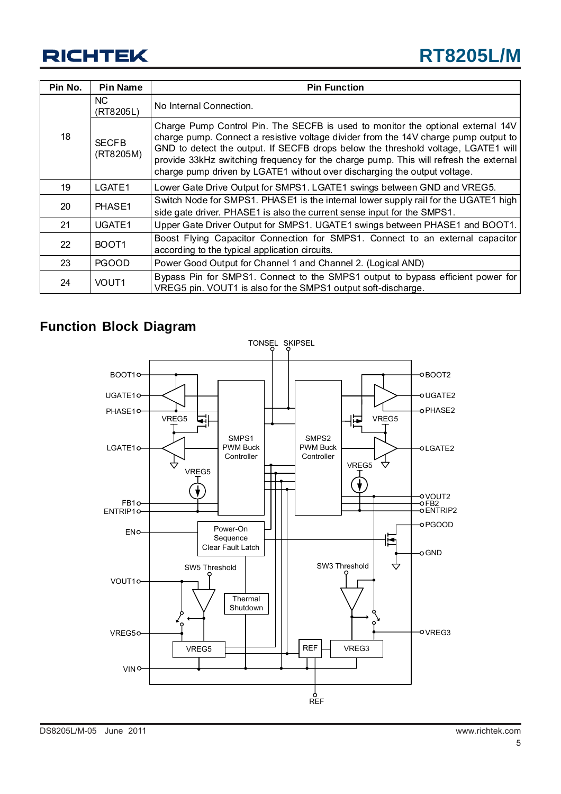| Pin No. | <b>Pin Name</b>           | <b>Pin Function</b>                                                                                                                                                                                                                                                                                                                                                                                                               |
|---------|---------------------------|-----------------------------------------------------------------------------------------------------------------------------------------------------------------------------------------------------------------------------------------------------------------------------------------------------------------------------------------------------------------------------------------------------------------------------------|
|         | NC.<br>(RT8205L)          | No Internal Connection.                                                                                                                                                                                                                                                                                                                                                                                                           |
| 18      | <b>SECFB</b><br>(RT8205M) | Charge Pump Control Pin. The SECFB is used to monitor the optional external 14V<br>charge pump. Connect a resistive voltage divider from the 14V charge pump output to<br>GND to detect the output. If SECFB drops below the threshold voltage, LGATE1 will<br>provide 33kHz switching frequency for the charge pump. This will refresh the external<br>charge pump driven by LGATE1 without over discharging the output voltage. |
| 19      | LGATE1                    | Lower Gate Drive Output for SMPS1. LGATE1 swings between GND and VREG5.                                                                                                                                                                                                                                                                                                                                                           |
| 20      | PHASE1                    | Switch Node for SMPS1. PHASE1 is the internal lower supply rail for the UGATE1 high<br>side gate driver. PHASE1 is also the current sense input for the SMPS1.                                                                                                                                                                                                                                                                    |
| 21      | UGATE1                    | Upper Gate Driver Output for SMPS1. UGATE1 swings between PHASE1 and BOOT1.                                                                                                                                                                                                                                                                                                                                                       |
| 22      | BOOT <sub>1</sub>         | Boost Flying Capacitor Connection for SMPS1. Connect to an external capacitor<br>according to the typical application circuits.                                                                                                                                                                                                                                                                                                   |
| 23      | <b>PGOOD</b>              | Power Good Output for Channel 1 and Channel 2. (Logical AND)                                                                                                                                                                                                                                                                                                                                                                      |
| 24      | VOUT <sub>1</sub>         | Bypass Pin for SMPS1. Connect to the SMPS1 output to bypass efficient power for<br>VREG5 pin. VOUT1 is also for the SMPS1 output soft-discharge.                                                                                                                                                                                                                                                                                  |

### **Function Block Diagram**

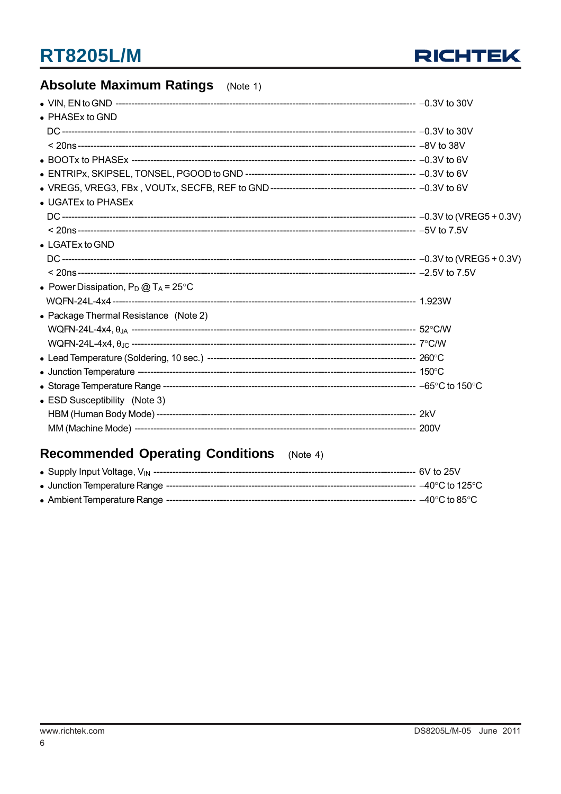

### **Absolute Maximum Ratings** (Note 1)

| • PHASEx to GND                                |  |
|------------------------------------------------|--|
|                                                |  |
|                                                |  |
|                                                |  |
|                                                |  |
|                                                |  |
| • UGATEx to PHASEx                             |  |
|                                                |  |
|                                                |  |
| $\bullet$ LGATEx to GND                        |  |
|                                                |  |
|                                                |  |
| • Power Dissipation, $P_D @ T_A = 25^{\circ}C$ |  |
|                                                |  |
| • Package Thermal Resistance (Note 2)          |  |
|                                                |  |
|                                                |  |
|                                                |  |
|                                                |  |
|                                                |  |
| • ESD Susceptibility (Note 3)                  |  |
|                                                |  |
|                                                |  |

### Recommended Operating Conditions (Note 4)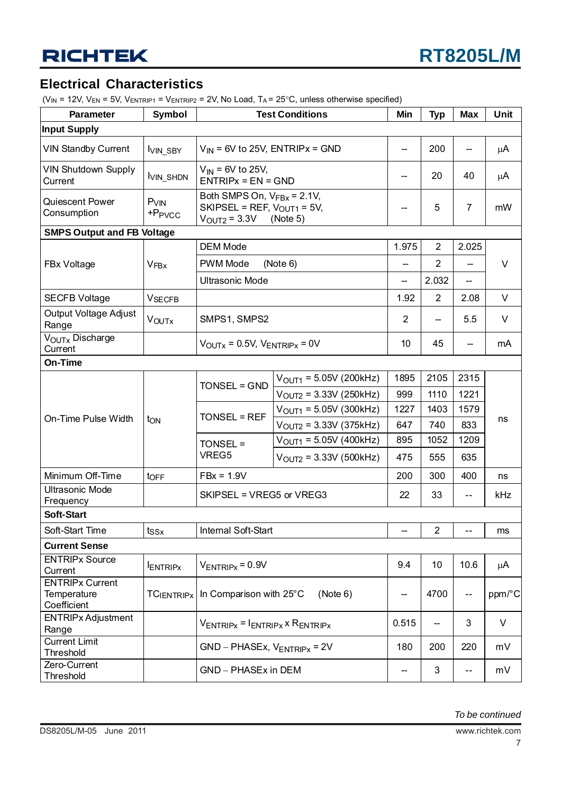### **Electrical Characteristics**

 $(V_{IN} = 12V, V_{EN} = 5V, V_{ENTRIP1} = V_{ENTRIP2} = 2V, No Load, T_A = 25°C$ , unless otherwise specified)

| <b>Parameter</b>                                     | Symbol                                   | <b>Test Conditions</b>                                                                                |                                                      | Min                      | <b>Typ</b>     | <b>Max</b>               | Unit   |
|------------------------------------------------------|------------------------------------------|-------------------------------------------------------------------------------------------------------|------------------------------------------------------|--------------------------|----------------|--------------------------|--------|
| <b>Input Supply</b>                                  |                                          |                                                                                                       |                                                      |                          |                |                          |        |
| <b>VIN Standby Current</b>                           | <b>VIN SBY</b>                           | $V_{IN}$ = 6V to 25V, ENTRIPx = GND                                                                   |                                                      | $\overline{\phantom{a}}$ | 200            | --                       | μA     |
| <b>VIN Shutdown Supply</b><br>Current                | <b>IVIN_SHDN</b>                         | $V_{IN}$ = 6V to 25V,<br>$ENTRIPx = EN = GND$                                                         | --                                                   | 20                       | 40             | μA                       |        |
| Quiescent Power<br>Consumption                       | $PV$ <sub>IN</sub><br>+P <sub>PVCC</sub> | Both SMPS On, $V_{FBx}$ = 2.1V,<br>SKIPSEL = REF, $V_{\text{OUT1}}$ = 5V,<br>$V_{\text{OUT2}} = 3.3V$ | (Note 5)                                             | --                       | 5              | $\overline{7}$           | mW     |
| <b>SMPS Output and FB Voltage</b>                    |                                          |                                                                                                       |                                                      |                          |                |                          |        |
|                                                      |                                          | <b>DEM Mode</b>                                                                                       |                                                      | 1.975                    | $\overline{2}$ | 2.025                    |        |
| FBx Voltage                                          | <b>VFBx</b>                              | PWM Mode                                                                                              | (Note 6)                                             | --                       | $\overline{2}$ | --                       | $\vee$ |
|                                                      |                                          | <b>Ultrasonic Mode</b>                                                                                |                                                      | $\overline{\phantom{a}}$ | 2.032          | $\overline{\phantom{a}}$ |        |
| <b>SECFB Voltage</b>                                 | <b>VSECFB</b>                            |                                                                                                       |                                                      | 1.92                     | $\overline{2}$ | 2.08                     | V      |
| Output Voltage Adjust<br>Range                       | <b>VOUTX</b>                             | SMPS1, SMPS2                                                                                          |                                                      | $\overline{2}$           |                | 5.5                      | V      |
| V <sub>OUTx</sub> Discharge<br>Current               |                                          |                                                                                                       | $V_{\text{OUTX}} = 0.5V$ , $V_{\text{ENTRIPX}} = 0V$ |                          |                |                          | mA     |
| On-Time                                              |                                          |                                                                                                       |                                                      |                          |                |                          |        |
|                                                      |                                          | TONSEL = GND                                                                                          | $V_{\text{OUT1}} = 5.05V (200kHz)$                   | 1895                     | 2105           | 2315                     | ns     |
|                                                      |                                          |                                                                                                       | $V_{\text{OUT2}} = 3.33V (250kHz)$                   | 999                      | 1110           | 1221                     |        |
|                                                      |                                          | <b>TONSEL = REF</b>                                                                                   | $V_{\text{OUT1}}$ = 5.05V (300kHz)                   | 1227                     | 1403           | 1579                     |        |
| On-Time Pulse Width                                  | t <sub>ON</sub>                          |                                                                                                       | $V_{\text{OUT2}} = 3.33V (375kHz)$                   | 647                      | 740            | 833                      |        |
|                                                      |                                          | TONSEL =                                                                                              | $V_{\text{OUT1}} = 5.05V (400kHz)$                   | 895                      | 1052           | 1209                     |        |
|                                                      |                                          | VREG5                                                                                                 | $V_{\text{OUT2}} = 3.33V (500kHz)$                   | 475                      | 555            | 635                      |        |
| Minimum Off-Time                                     | toFF                                     | $FBx = 1.9V$                                                                                          |                                                      | 200                      | 300            | 400                      | ns     |
| <b>Ultrasonic Mode</b><br>Frequency                  |                                          | SKIPSEL = VREG5 or VREG3                                                                              |                                                      | 22                       | 33             | $- -$                    | kHz    |
| <b>Soft-Start</b>                                    |                                          |                                                                                                       |                                                      |                          |                |                          |        |
| Soft-Start Time                                      | $t_{SSx}$                                | Internal Soft-Start                                                                                   |                                                      | $\overline{\phantom{a}}$ | $\overline{2}$ | $-$                      | ms     |
| <b>Current Sense</b>                                 |                                          |                                                                                                       |                                                      |                          |                |                          |        |
| <b>ENTRIPx Source</b>                                |                                          | $V_{ENTRIPx} = 0.9V$                                                                                  |                                                      | 9.4                      | 10             | 10.6                     | μA     |
| Current                                              | <b>ENTRIPX</b>                           |                                                                                                       |                                                      |                          |                |                          |        |
| <b>ENTRIPx Current</b><br>Temperature<br>Coefficient | <b>TCIENTRIPX</b>                        | In Comparison with 25°C                                                                               | ——                                                   | 4700                     | --             | ppm/°C                   |        |
| <b>ENTRIPx Adjustment</b>                            |                                          | $V_{ENTRIPx} = I_{ENTRIPx} \times R_{ENTRIPx}$                                                        | 0.515                                                | $\overline{\phantom{a}}$ | 3              | V                        |        |
| Range<br><b>Current Limit</b>                        |                                          |                                                                                                       |                                                      |                          |                |                          |        |
| Threshold                                            |                                          | $GND - PHASEx, V_{ENTRIPx} = 2V$                                                                      |                                                      | 180                      | 200            | 220                      | mV     |
| Zero-Current<br>Threshold                            |                                          | GND - PHASEx in DEM                                                                                   |                                                      |                          | 3              | --                       | mV     |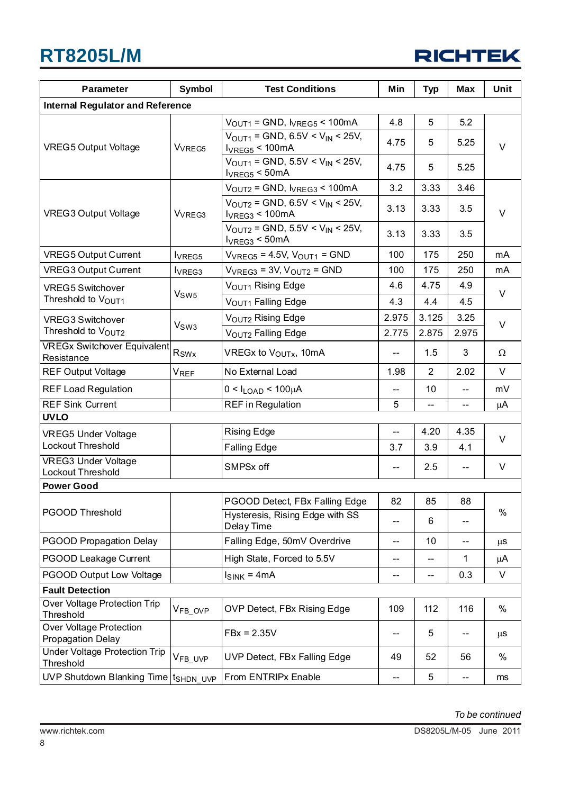| <b>RICHTEK</b> |  |  |  |
|----------------|--|--|--|
|                |  |  |  |

| Symbol<br><b>Test Conditions</b><br><b>Parameter</b> |                     | Min                                                                           | <b>Typ</b> | <b>Max</b>               | <b>Unit</b> |          |  |
|------------------------------------------------------|---------------------|-------------------------------------------------------------------------------|------------|--------------------------|-------------|----------|--|
| <b>Internal Regulator and Reference</b>              |                     |                                                                               |            |                          |             |          |  |
|                                                      |                     | $VOUT1 = GND$ , $VREG5 < 100mA$                                               | 4.8        | 5                        | 5.2         |          |  |
| <b>VREG5 Output Voltage</b>                          | V <sub>VREG5</sub>  | $V_{\text{OUT1}}$ = GND, 6.5V < $V_{\text{IN}}$ < 25V,<br>$I_{VREG5}$ < 100mA | 4.75       | 5                        | 5.25        | $\vee$   |  |
|                                                      |                     | $V_{\text{OUT1}}$ = GND, 5.5V < $V_{\text{IN}}$ < 25V,<br>$I_{VREG5}$ < 50mA  | 4.75       | 5                        | 5.25        |          |  |
|                                                      |                     | $VOUT2 = GND, VREG3 < 100mA$                                                  | 3.2        | 3.33                     | 3.46        |          |  |
| <b>VREG3 Output Voltage</b>                          | V <sub>VREG3</sub>  | $V_{\text{OUT2}}$ = GND, 6.5V < $V_{\text{IN}}$ < 25V,<br>$I_{VREG3}$ < 100mA | 3.13       | 3.33                     | 3.5         | $\vee$   |  |
|                                                      |                     | $V_{\text{OUT2}}$ = GND, 5.5V < $V_{\text{IN}}$ < 25V,<br>$I_{VREG3}$ < 50mA  | 3.13       | 3.33                     | 3.5         |          |  |
| <b>VREG5 Output Current</b>                          | lyREG5              | $V_{VREG5}$ = 4.5V, $V_{OUT1}$ = GND                                          | 100        | 175                      | 250         | mA       |  |
| <b>VREG3 Output Current</b>                          | lv <sub>REG3</sub>  | $V_{VREG3} = 3V$ , $V_{OUT2} = GND$                                           | 100        | 175                      | 250         | mA       |  |
| <b>VREG5 Switchover</b>                              | V <sub>SW5</sub>    | V <sub>OUT1</sub> Rising Edge                                                 | 4.6        | 4.75                     | 4.9         | V        |  |
| Threshold to V <sub>OUT1</sub>                       |                     | VOUT1 Falling Edge                                                            | 4.3        | 4.4                      | 4.5         |          |  |
| <b>VREG3 Switchover</b>                              | V <sub>SW3</sub>    | V <sub>OUT2</sub> Rising Edge                                                 | 2.975      | 3.125                    | 3.25        | $\vee$   |  |
| Threshold to VOUT2                                   |                     | V <sub>OUT2</sub> Falling Edge                                                | 2.775      | 2.875                    | 2.975       |          |  |
| <b>VREGx Switchover Equivalent</b><br>Resistance     | Rswx                | VREGx to V <sub>OUTx</sub> , 10mA                                             | --         | 1.5                      | 3           | $\Omega$ |  |
| <b>REF Output Voltage</b>                            | <b>VREF</b>         | No External Load                                                              | 1.98       | 2                        | 2.02        | V        |  |
| <b>REF Load Regulation</b>                           |                     | $0 < I_{LOAD} < 100 \mu A$                                                    | --         | 10                       | --          | mV       |  |
| <b>REF Sink Current</b>                              |                     | <b>REF</b> in Regulation                                                      | 5          |                          | --          | μA       |  |
| <b>UVLO</b>                                          |                     |                                                                               |            |                          |             |          |  |
| <b>VREG5 Under Voltage</b><br>Lockout Threshold      |                     | <b>Rising Edge</b>                                                            | ш.,        | 4.20                     | 4.35        | $\vee$   |  |
| <b>VREG3 Under Voltage</b>                           |                     | <b>Falling Edge</b>                                                           | 3.7        | 3.9                      | 4.1         |          |  |
| Lockout Threshold                                    |                     | SMPSx off                                                                     | --         | 2.5                      | $-\,-$      | V        |  |
| <b>Power Good</b>                                    |                     |                                                                               |            |                          |             |          |  |
|                                                      |                     | PGOOD Detect, FBx Falling Edge                                                | 82         | 85                       | 88          |          |  |
| PGOOD Threshold                                      |                     | Hysteresis, Rising Edge with SS<br>Delay Time                                 | --         | 6                        |             | %        |  |
| PGOOD Propagation Delay                              |                     | Falling Edge, 50mV Overdrive                                                  | --         | 10                       | --          | $\mu$ S  |  |
| PGOOD Leakage Current                                |                     | High State, Forced to 5.5V                                                    | --         | $\overline{\phantom{a}}$ | 1           | μA       |  |
| PGOOD Output Low Voltage                             |                     | $I_{SINK} = 4mA$                                                              | --         | --                       | 0.3         | V        |  |
| <b>Fault Detection</b>                               |                     |                                                                               |            |                          |             |          |  |
| Over Voltage Protection Trip<br>Threshold            | V <sub>FB_OVP</sub> | OVP Detect, FBx Rising Edge                                                   | 109        | 112                      | 116         | %        |  |
| Over Voltage Protection<br>Propagation Delay         |                     | $FBx = 2.35V$                                                                 | --         | 5                        |             | $\mu$ S  |  |
| <b>Under Voltage Protection Trip</b><br>Threshold    | V <sub>FB_UVP</sub> | UVP Detect, FBx Falling Edge                                                  | 49         | 52                       | 56          | $\%$     |  |
| UVP Shutdown Blanking Time   tsHDN_UVP               |                     | From ENTRIPx Enable                                                           | --         | 5                        | $--$        | ms       |  |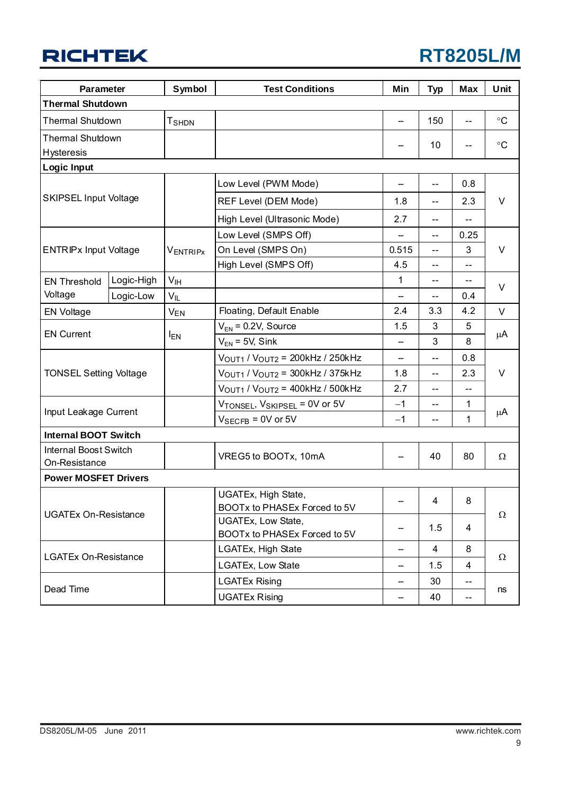| <b>Parameter</b>                              |            | Symbol          | <b>Test Conditions</b>                                   |               | <b>Typ</b>               | <b>Max</b> | Unit              |  |
|-----------------------------------------------|------------|-----------------|----------------------------------------------------------|---------------|--------------------------|------------|-------------------|--|
| <b>Thermal Shutdown</b>                       |            |                 |                                                          |               |                          |            |                   |  |
| <b>Thermal Shutdown</b>                       |            | <b>T</b> SHDN   |                                                          | --            | 150                      | --         | $\circ$ C         |  |
| <b>Thermal Shutdown</b>                       |            |                 |                                                          |               | 10                       |            | $^{\circ}{\rm C}$ |  |
| <b>Hysteresis</b>                             |            |                 |                                                          |               |                          |            |                   |  |
| <b>Logic Input</b>                            |            |                 |                                                          |               |                          |            |                   |  |
|                                               |            |                 | Low Level (PWM Mode)                                     | —             | $-$                      | 0.8        |                   |  |
| <b>SKIPSEL Input Voltage</b>                  |            |                 | REF Level (DEM Mode)                                     | 1.8           | $-$                      | 2.3        | $\vee$            |  |
|                                               |            |                 | High Level (Ultrasonic Mode)                             | 2.7           | --                       |            |                   |  |
|                                               |            |                 | Low Level (SMPS Off)                                     |               | $-$                      | 0.25       |                   |  |
| <b>ENTRIPx Input Voltage</b>                  |            | <b>VENTRIPX</b> | On Level (SMPS On)                                       | 0.515         | $\overline{\phantom{a}}$ | 3          | $\vee$            |  |
|                                               |            |                 | High Level (SMPS Off)                                    | 4.5           | $-$                      | --         |                   |  |
| <b>EN Threshold</b>                           | Logic-High | V <sub>IH</sub> |                                                          | 1<br>--<br>-- |                          | $\vee$     |                   |  |
| Voltage                                       | Logic-Low  | $V_{IL}$        |                                                          | --            |                          | 0.4        |                   |  |
| <b>EN Voltage</b>                             |            | <b>VEN</b>      | Floating, Default Enable                                 | 2.4           | 3.3                      | 4.2        | V                 |  |
|                                               |            |                 | $V_{FN}$ = 0.2V, Source                                  | 1.5           | 3                        | 5          |                   |  |
| <b>EN Current</b>                             |            | $I_{EN}$        | $V_{EN}$ = 5V, Sink                                      | <u></u>       | 3                        | 8          | μA                |  |
|                                               |            |                 | VOUT1 / VOUT2 = 200kHz / 250kHz                          | --            | $-$                      | 0.8        | V                 |  |
| <b>TONSEL Setting Voltage</b>                 |            |                 | VOUT1 / VOUT2 = 300kHz / 375kHz                          | 1.8           | $-$                      | 2.3        |                   |  |
|                                               |            |                 | VOUT1 / VOUT2 = 400kHz / 500kHz                          | 2.7           | $-$                      | --         |                   |  |
|                                               |            |                 | VTONSEL, VSKIPSEL = 0V or 5V                             | $-1$          | $- -$                    | 1          |                   |  |
| Input Leakage Current                         |            |                 | $V_{\text{SECFB}} = 0V$ or 5V                            | $-1$          | $-$                      | 1          | μA                |  |
| <b>Internal BOOT Switch</b>                   |            |                 |                                                          |               |                          |            |                   |  |
| <b>Internal Boost Switch</b><br>On-Resistance |            |                 | VREG5 to BOOTx, 10mA                                     |               | 40                       | 80         | $\Omega$          |  |
| <b>Power MOSFET Drivers</b>                   |            |                 |                                                          |               |                          |            |                   |  |
|                                               |            |                 | UGATEx, High State,<br>BOOTx to PHASEx Forced to 5V      |               | $\overline{4}$           | 8          |                   |  |
| <b>UGATEx On-Resistance</b>                   |            |                 | UGATEx, Low State,<br>--<br>BOOTx to PHASEx Forced to 5V |               | 1.5                      | 4          | Ω                 |  |
|                                               |            |                 | LGATEx, High State                                       | --            | 4                        | 8          |                   |  |
| <b>LGATEx On-Resistance</b>                   |            |                 | LGATEx, Low State<br>—                                   |               | 1.5                      | 4          | Ω                 |  |
|                                               |            |                 | <b>LGATEx Rising</b>                                     |               | 30                       | --         |                   |  |
| Dead Time                                     |            |                 | <b>UGATEx Rising</b>                                     | —             | 40                       | --         | ns                |  |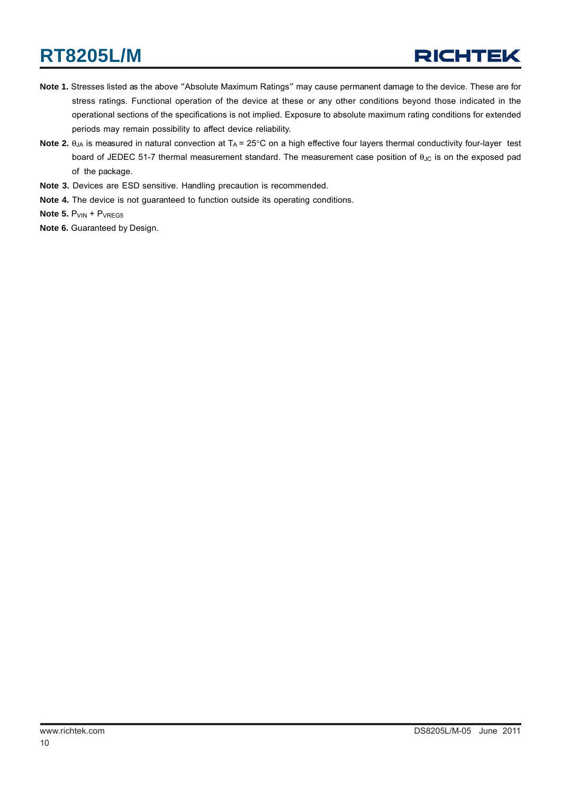- **Note 1.** Stresses listed as the above "Absolute Maximum Ratings" may cause permanent damage to the device. These are for stress ratings. Functional operation of the device at these or any other conditions beyond those indicated in the operational sections of the specifications is not implied. Exposure to absolute maximum rating conditions for extended periods may remain possibility to affect device reliability.
- Note 2. θ<sub>JA</sub> is measured in natural convection at T<sub>A</sub> = 25°C on a high effective four layers thermal conductivity four-layer test board of JEDEC 51-7 thermal measurement standard. The measurement case position of θ<sub>JC</sub> is on the exposed pad of the package.
- **Note 3.** Devices are ESD sensitive. Handling precaution is recommended.
- **Note 4.** The device is not guaranteed to function outside its operating conditions.
- **Note 5. P**VIN + PVREG5
- **Note 6.** Guaranteed by Design.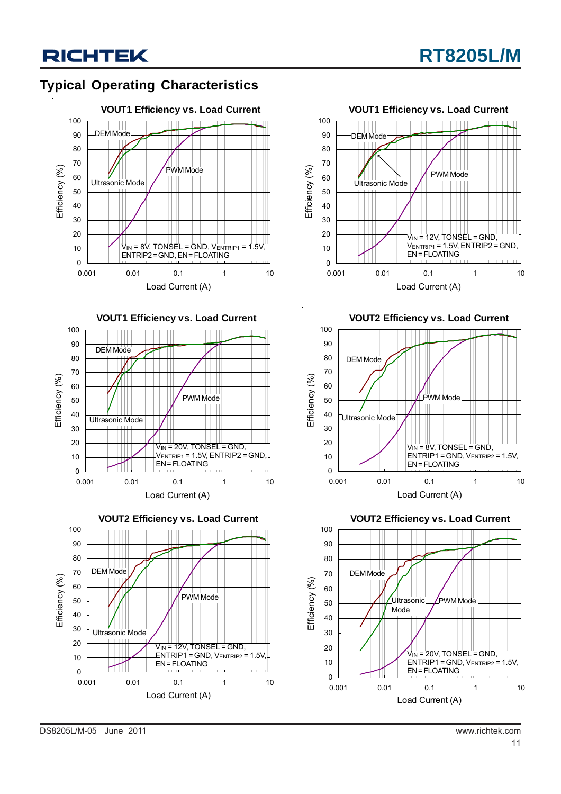### **Typical Operating Characteristics**









**VOUT2 Efficiency vs. Load Current**



**VOUT2 Efficiency vs. Load Current**

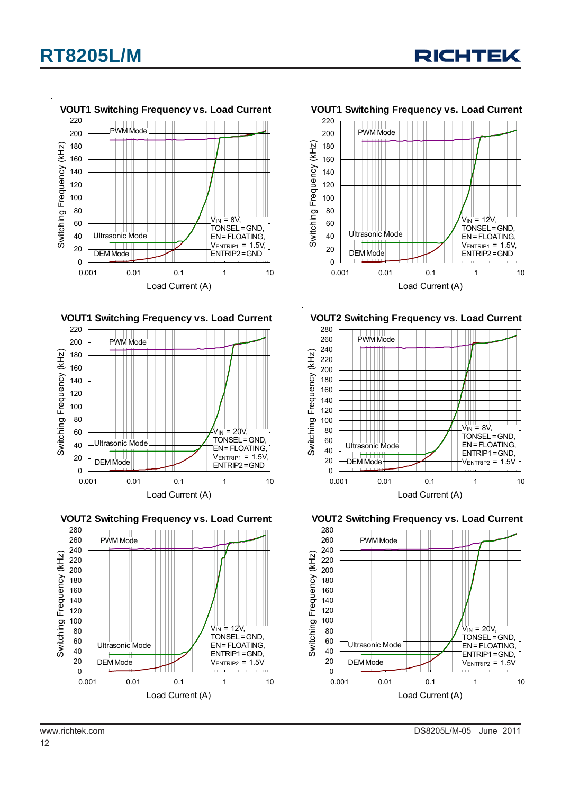













**VOUT2 Switching Frequency vs. Load Current**



**VOUT2 Switching Frequency vs. Load Current**

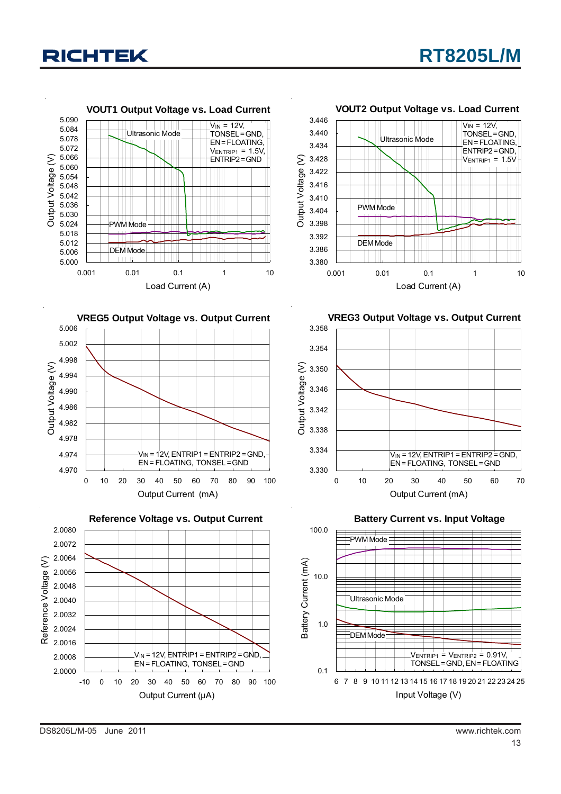





#### **VOUT2 Output Voltage vs. Load Current**



**VREG3 Output Voltage vs. Output Current**



**Battery Current vs. Input Voltage**

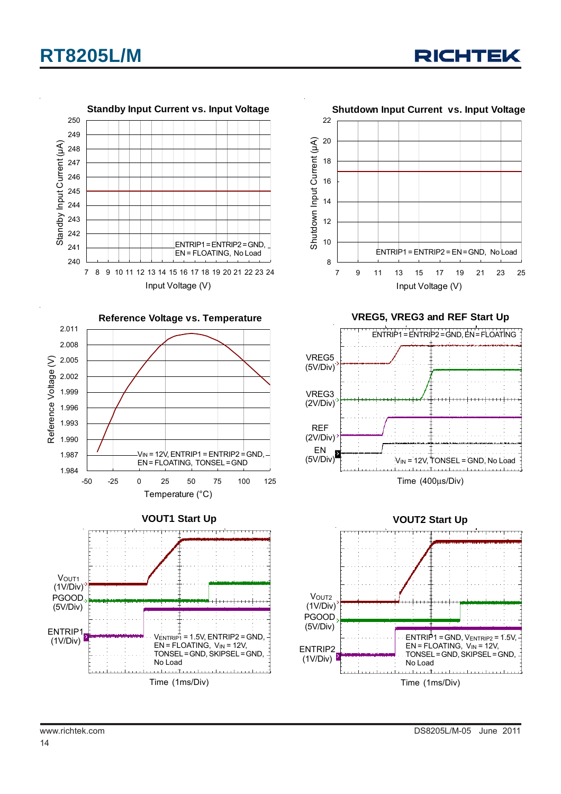



Time (1ms/Div)

وتحاط والمتحدث  $\pm$  1.1 e e F

سائن بروسان



**VREG5, VREG3 and REF Start Up**





Time (1ms/Div)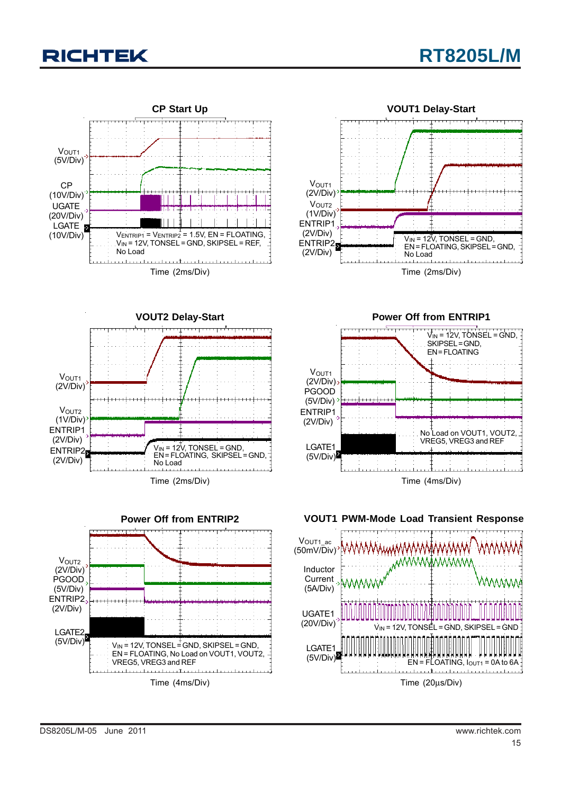









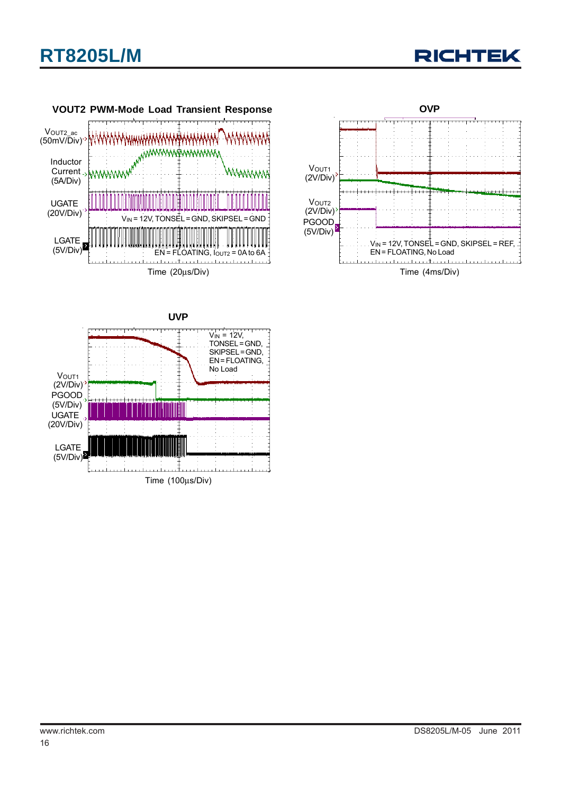





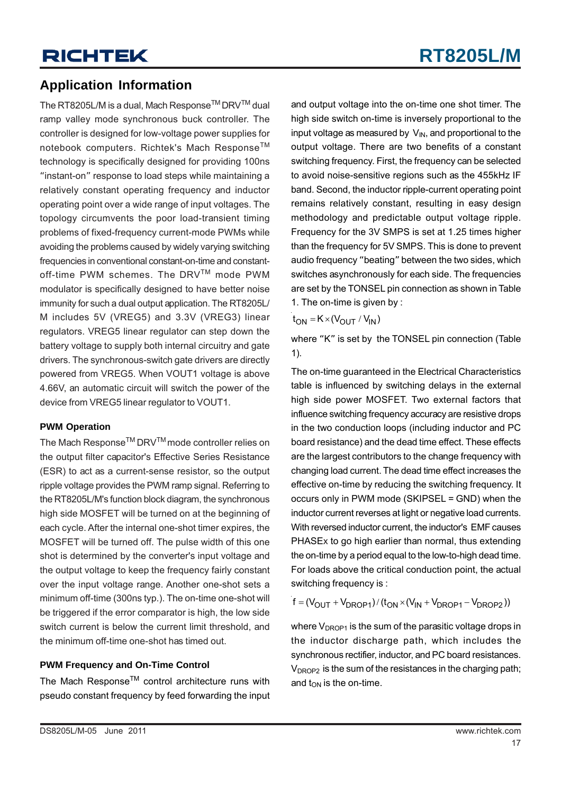### **Application Information**

The RT8205L/M is a dual, Mach Response<sup>™</sup> DRV<sup>™</sup> dual ramp valley mode synchronous buck controller. The controller is designed for low-voltage power supplies for notebook computers. Richtek's Mach Response™ technology is specifically designed for providing 100ns "instant-on" response to load steps while maintaining a relatively constant operating frequency and inductor operating point over a wide range of input voltages. The topology circumvents the poor load-transient timing problems of fixed-frequency current-mode PWMs while avoiding the problems caused by widely varying switching frequencies in conventional constant-on-time and constantoff-time PWM schemes. The DRV™ mode PWM modulator is specifically designed to have better noise immunity for such a dual output application. The RT8205L/ M includes 5V (VREG5) and 3.3V (VREG3) linear regulators. VREG5 linear regulator can step down the battery voltage to supply both internal circuitry and gate drivers. The synchronous-switch gate drivers are directly powered from VREG5. When VOUT1 voltage is above 4.66V, an automatic circuit will switch the power of the device from VREG5 linear regulator to VOUT1.

#### **PWM Operation**

The Mach Response<sup>™</sup> DRV<sup>™</sup> mode controller relies on the output filter capacitor's Effective Series Resistance (ESR) to act as a current-sense resistor, so the output ripple voltage provides the PWM ramp signal. Referring to the RT8205L/M's function block diagram, the synchronous high side MOSFET will be turned on at the beginning of each cycle. After the internal one-shot timer expires, the MOSFET will be turned off. The pulse width of this one shot is determined by the converter's input voltage and the output voltage to keep the frequency fairly constant over the input voltage range. Another one-shot sets a minimum off-time (300ns typ.). The on-time one-shot will be triggered if the error comparator is high, the low side switch current is below the current limit threshold, and the minimum off-time one-shot has timed out.

#### **PWM Frequency and On-Time Control**

The Mach Response™ control architecture runs with pseudo constant frequency by feed forwarding the input and output voltage into the on-time one shot timer. The high side switch on-time is inversely proportional to the input voltage as measured by  $V_{\text{IN}}$ , and proportional to the output voltage. There are two benefits of a constant switching frequency. First, the frequency can be selected to avoid noise-sensitive regions such as the 455kHz IF band. Second, the inductor ripple-current operating point remains relatively constant, resulting in easy design methodology and predictable output voltage ripple. Frequency for the 3V SMPS is set at 1.25 times higher than the frequency for 5V SMPS. This is done to prevent audio frequency "beating" between the two sides, which switches asynchronously for each side. The frequencies are set by the TONSEL pin connection as shown in Table 1. The on-time is given by :

 $t_{ON} = K \times (V_{OUIT} / V_{IN})$ 

where "K" is set by the TONSEL pin connection (Table 1).

The on-time guaranteed in the Electrical Characteristics table is influenced by switching delays in the external high side power MOSFET. Two external factors that influence switching frequency accuracy are resistive drops in the two conduction loops (including inductor and PC board resistance) and the dead time effect. These effects are the largest contributors to the change frequency with changing load current. The dead time effect increases the effective on-time by reducing the switching frequency. It occurs only in PWM mode (SKIPSEL = GND) when the inductor current reverses at light or negative load currents. With reversed inductor current, the inductor's EMF causes PHASEx to go high earlier than normal, thus extending the on-time by a period equal to the low-to-high dead time. For loads above the critical conduction point, the actual switching frequency is :

 $f = (V_{\text{OUT}} + V_{\text{DROP1}}) / (t_{\text{ON}} \times (V_{\text{IN}} + V_{\text{DROP1}} - V_{\text{DROP2}}))$ 

where  $V_{DROP1}$  is the sum of the parasitic voltage drops in the inductor discharge path, which includes the synchronous rectifier, inductor, and PC board resistances.  $V_{DROP2}$  is the sum of the resistances in the charging path; and  $t_{\text{OM}}$  is the on-time.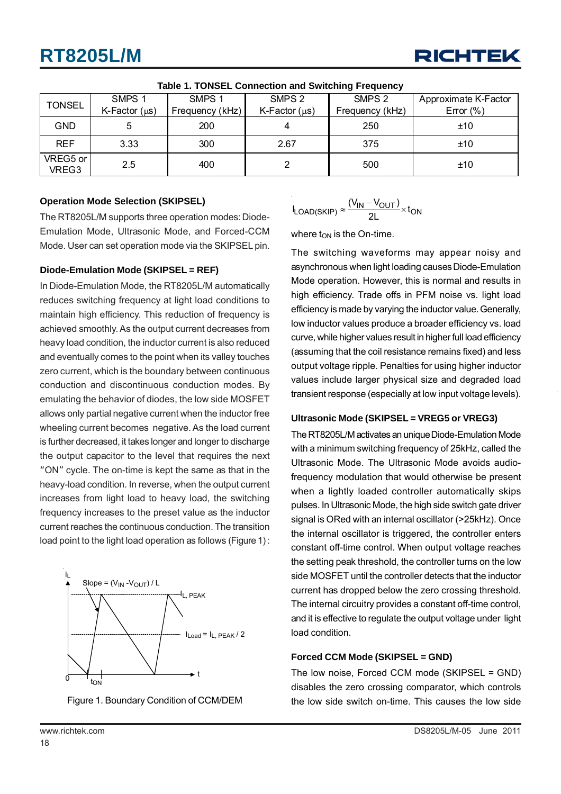

|                   | SMPS <sub>1</sub>  | SMPS <sub>1</sub> | SMPS <sub>2</sub> | SMPS <sub>2</sub> | Approximate K-Factor |  |  |  |  |
|-------------------|--------------------|-------------------|-------------------|-------------------|----------------------|--|--|--|--|
| <b>TONSEL</b>     | K-Factor $(\mu s)$ | Frequency (kHz)   | $K-Factor(\mu s)$ | Frequency (kHz)   | Error $(\% )$        |  |  |  |  |
| GND               |                    | 200               | 4                 | 250               | ±10                  |  |  |  |  |
| <b>REF</b>        | 3.33               | 300               | 2.67              | 375               | ±10                  |  |  |  |  |
| VREG5 or<br>VREG3 | 2.5                | 400               |                   | 500               | ±10                  |  |  |  |  |

**Table 1. TONSEL Connection and Switching Frequency**

#### **Operation Mode Selection (SKIPSEL)**

The RT8205L/M supports three operation modes: Diode-Emulation Mode, Ultrasonic Mode, and Forced-CCM Mode. User can set operation mode via the SKIPSEL pin.

#### **Diode-Emulation Mode (SKIPSEL = REF)**

In Diode-Emulation Mode, the RT8205L/M automatically reduces switching frequency at light load conditions to maintain high efficiency. This reduction of frequency is achieved smoothly. As the output current decreases from heavy load condition, the inductor current is also reduced and eventually comes to the point when its valley touches zero current, which is the boundary between continuous conduction and discontinuous conduction modes. By emulating the behavior of diodes, the low side MOSFET allows only partial negative current when the inductor free wheeling current becomes negative. As the load current is further decreased, it takes longer and longer to discharge the output capacitor to the level that requires the next "ON" cycle. The on-time is kept the same as that in the heavy-load condition. In reverse, when the output current increases from light load to heavy load, the switching frequency increases to the preset value as the inductor current reaches the continuous conduction. The transition load point to the light load operation as follows (Figure 1) :





$$
I_{LOAD(SKIP)} \approx \frac{(V_{IN} - V_{OUT})}{2L} \times t_{ON}
$$

where  $t_{ON}$  is the On-time.

The switching waveforms may appear noisy and asynchronous when light loading causes Diode-Emulation Mode operation. However, this is normal and results in high efficiency. Trade offs in PFM noise vs. light load efficiency is made by varying the inductor value. Generally, low inductor values produce a broader efficiency vs. load curve, while higher values result in higher full load efficiency (assuming that the coil resistance remains fixed) and less output voltage ripple. Penalties for using higher inductor values include larger physical size and degraded load transient response (especially at low input voltage levels).

#### **Ultrasonic Mode (SKIPSEL = VREG5 or VREG3)**

The RT8205L/M activates an unique Diode-Emulation Mode with a minimum switching frequency of 25kHz, called the Ultrasonic Mode. The Ultrasonic Mode avoids audiofrequency modulation that would otherwise be present when a lightly loaded controller automatically skips pulses. In Ultrasonic Mode, the high side switch gate driver signal is ORed with an internal oscillator (>25kHz). Once the internal oscillator is triggered, the controller enters constant off-time control. When output voltage reaches the setting peak threshold, the controller turns on the low side MOSFET until the controller detects that the inductor current has dropped below the zero crossing threshold. The internal circuitry provides a constant off-time control, and it is effective to regulate the output voltage under light load condition.

#### **Forced CCM Mode (SKIPSEL = GND)**

The low noise, Forced CCM mode (SKIPSEL = GND) disables the zero crossing comparator, which controls the low side switch on-time. This causes the low side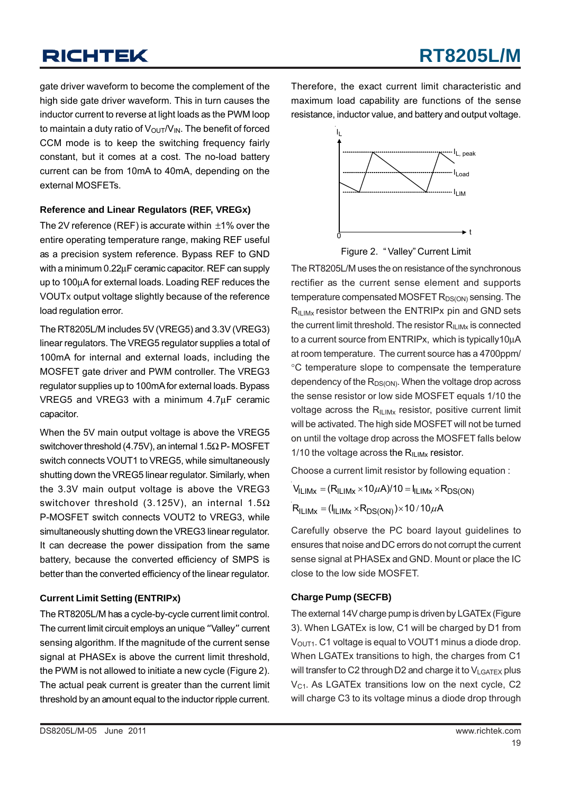gate driver waveform to become the complement of the high side gate driver waveform. This in turn causes the inductor current to reverse at light loads as the PWM loop to maintain a duty ratio of  $V_{\text{OUT}}/V_{\text{IN}}$ . The benefit of forced CCM mode is to keep the switching frequency fairly constant, but it comes at a cost. The no-load battery current can be from 10mA to 40mA, depending on the external MOSFETs.

#### **Reference and Linear Regulators (REF, VREGx)**

The 2V reference (REF) is accurate within  $\pm$ 1% over the entire operating temperature range, making REF useful as a precision system reference. Bypass REF to GND with a minimum 0.22μF ceramic capacitor. REF can supply up to 100μA for external loads. Loading REF reduces the VOUTx output voltage slightly because of the reference load regulation error.

The RT8205L/M includes 5V (VREG5) and 3.3V (VREG3) linear regulators. The VREG5 regulator supplies a total of 100mA for internal and external loads, including the MOSFET gate driver and PWM controller. The VREG3 regulator supplies up to 100mA for external loads. Bypass VREG5 and VREG3 with a minimum 4.7μF ceramic capacitor.

When the 5V main output voltage is above the VREG5 switchover threshold (4.75V), an internal 1.5Ω P- MOSFET switch connects VOUT1 to VREG5, while simultaneously shutting down the VREG5 linear regulator. Similarly, when the 3.3V main output voltage is above the VREG3 switchover threshold (3.125V), an internal 1.5Ω P-MOSFET switch connects VOUT2 to VREG3, while simultaneously shutting down the VREG3 linear regulator. It can decrease the power dissipation from the same battery, because the converted efficiency of SMPS is better than the converted efficiency of the linear regulator.

#### **Current Limit Setting (ENTRIPx)**

The RT8205L/M has a cycle-by-cycle current limit control. The current limit circuit employs an unique "Valley" current sensing algorithm. If the magnitude of the current sense signal at PHASEx is above the current limit threshold, the PWM is not allowed to initiate a new cycle (Figure 2). The actual peak current is greater than the current limit threshold by an amount equal to the inductor ripple current.

Therefore, the exact current limit characteristic and maximum load capability are functions of the sense resistance, inductor value, and battery and output voltage.



Figure 2. " Valley" Current Limit

The RT8205L/M uses the on resistance of the synchronous rectifier as the current sense element and supports temperature compensated MOSFET  $R_{DS(ON)}$  sensing. The  $R_{\text{II,IMx}}$  resistor between the ENTRIPx pin and GND sets the current limit threshold. The resistor  $R<sub>II~IMx</sub>$  is connected to a current source from ENTRIPx, which is typically10μA at room temperature. The current source has a 4700ppm/ °C temperature slope to compensate the temperature dependency of the  $R_{DS(ON)}$ . When the voltage drop across the sense resistor or low side MOSFET equals 1/10 the voltage across the  $R_{\text{ILMx}}$  resistor, positive current limit will be activated. The high side MOSFET will not be turned on until the voltage drop across the MOSFET falls below 1/10 the voltage across the  $R_{II,IMx}$  resistor.

Choose a current limit resistor by following equation :

 $V_{\text{ILIMx}} = (R_{\text{ILIMx}} \times 10 \mu A)/10 = I_{\text{ILIMx}} \times R_{\text{DS}(\text{ON})}$ 

 $R_{\text{ILIMx}} = (I_{\text{ILIMx}} \times R_{DS(ON)}) \times 10 / 10 \mu A$ 

Carefully observe the PC board layout guidelines to ensures that noise and DC errors do not corrupt the current sense signal at PHASEx and GND. Mount or place the IC close to the low side MOSFET.

#### **Charge Pump (SECFB)**

The external 14V charge pump is driven by LGATEx (Figure 3). When LGATEx is low, C1 will be charged by D1 from  $V<sub>OUT1</sub>$ . C1 voltage is equal to VOUT1 minus a diode drop. When LGATEx transitions to high, the charges from C1 will transfer to C2 through D2 and charge it to  $V_{LGATEX}$  plus  $V_{C1}$ . As LGATEx transitions low on the next cycle, C2 will charge C3 to its voltage minus a diode drop through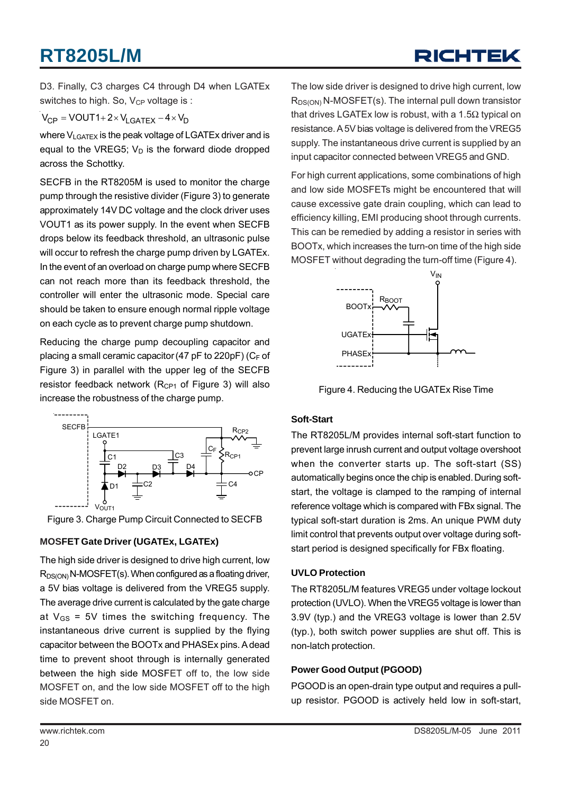# RICHTEK

D3. Finally, C3 charges C4 through D4 when LGATEx switches to high. So,  $V_{CP}$  voltage is:

$$
V_{CP} = VOUT1 + 2 \times V_{LGATEX} - 4 \times V_D
$$

where V<sub>LGATEX</sub> is the peak voltage of LGATEx driver and is equal to the VREG5;  $V_D$  is the forward diode dropped across the Schottky.

SECFB in the RT8205M is used to monitor the charge pump through the resistive divider (Figure 3) to generate approximately 14V DC voltage and the clock driver uses VOUT1 as its power supply. In the event when SECFB drops below its feedback threshold, an ultrasonic pulse will occur to refresh the charge pump driven by LGATEx. In the event of an overload on charge pump where SECFB can not reach more than its feedback threshold, the controller will enter the ultrasonic mode. Special care should be taken to ensure enough normal ripple voltage on each cycle as to prevent charge pump shutdown.

Reducing the charge pump decoupling capacitor and placing a small ceramic capacitor (47 pF to 220pF) ( $C_F$  of Figure 3) in parallel with the upper leg of the SECFB resistor feedback network ( $R_{CP1}$  of Figure 3) will also increase the robustness of the charge pump.



Figure 3. Charge Pump Circuit Connected to SECFB

#### **MOSFET Gate Driver (UGATEx, LGATEx)**

The high side driver is designed to drive high current, low  $R_{DS(ON)}$  N-MOSFET(s). When configured as a floating driver, a 5V bias voltage is delivered from the VREG5 supply. The average drive current is calculated by the gate charge at  $V_{GS}$  = 5V times the switching frequency. The instantaneous drive current is supplied by the flying capacitor between the BOOTx and PHASEx pins. A dead time to prevent shoot through is internally generated between the high side MOSFET off to, the low side MOSFET on, and the low side MOSFET off to the high side MOSFET on.

The low side driver is designed to drive high current, low  $R_{DS(ON)}$  N-MOSFET(s). The internal pull down transistor that drives LGATEx low is robust, with a 1.5Ω typical on resistance. A 5V bias voltage is delivered from the VREG5 supply. The instantaneous drive current is supplied by an input capacitor connected between VREG5 and GND.

For high current applications, some combinations of high and low side MOSFETs might be encountered that will cause excessive gate drain coupling, which can lead to efficiency killing, EMI producing shoot through currents. This can be remedied by adding a resistor in series with BOOTx, which increases the turn-on time of the high side MOSFET without degrading the turn-off time (Figure 4).



Figure 4. Reducing the UGATEx Rise Time

#### **Soft-Start**

The RT8205L/M provides internal soft-start function to prevent large inrush current and output voltage overshoot when the converter starts up. The soft-start (SS) automatically begins once the chip is enabled. During softstart, the voltage is clamped to the ramping of internal reference voltage which is compared with FBx signal. The typical soft-start duration is 2ms. An unique PWM duty limit control that prevents output over voltage during softstart period is designed specifically for FBx floating.

#### **UVLO Protection**

The RT8205L/M features VREG5 under voltage lockout protection (UVLO). When the VREG5 voltage is lower than 3.9V (typ.) and the VREG3 voltage is lower than 2.5V (typ.), both switch power supplies are shut off. This is non-latch protection.

#### **Power Good Output (PGOOD)**

PGOOD is an open-drain type output and requires a pullup resistor. PGOOD is actively held low in soft-start,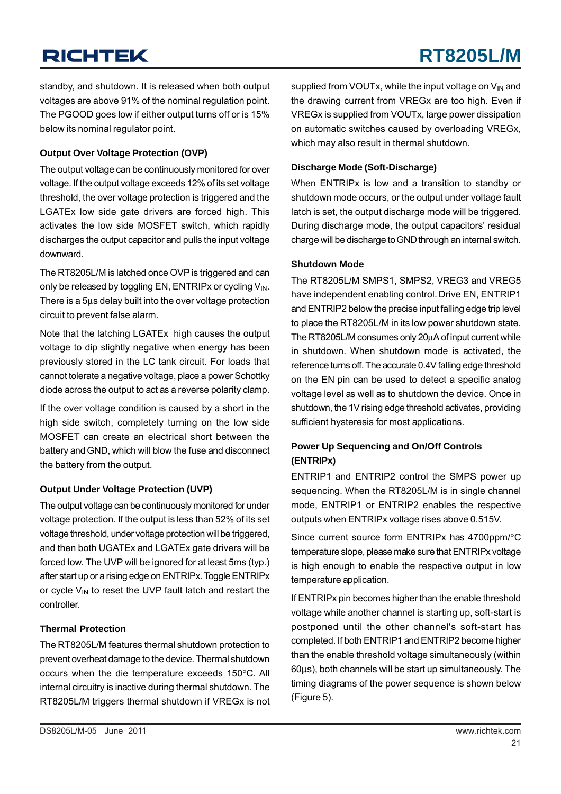standby, and shutdown. It is released when both output voltages are above 91% of the nominal regulation point. The PGOOD goes low if either output turns off or is 15% below its nominal regulator point.

#### **Output Over Voltage Protection (OVP)**

The output voltage can be continuously monitored for over voltage. If the output voltage exceeds 12% of its set voltage threshold, the over voltage protection is triggered and the LGATEx low side gate drivers are forced high. This activates the low side MOSFET switch, which rapidly discharges the output capacitor and pulls the input voltage downward.

The RT8205L/M is latched once OVP is triggered and can only be released by toggling EN, ENTRIPx or cycling  $V_{\text{IN}}$ . There is a 5μs delay built into the over voltage protection circuit to prevent false alarm.

Note that the latching LGATEx high causes the output voltage to dip slightly negative when energy has been previously stored in the LC tank circuit. For loads that cannot tolerate a negative voltage, place a power Schottky diode across the output to act as a reverse polarity clamp.

If the over voltage condition is caused by a short in the high side switch, completely turning on the low side MOSFET can create an electrical short between the battery and GND, which will blow the fuse and disconnect the battery from the output.

#### **Output Under Voltage Protection (UVP)**

The output voltage can be continuously monitored for under voltage protection. If the output is less than 52% of its set voltage threshold, under voltage protection will be triggered, and then both UGATEx and LGATEx gate drivers will be forced low. The UVP will be ignored for at least 5ms (typ.) after start up or a rising edge on ENTRIPx. Toggle ENTRIPx or cycle  $V_{IN}$  to reset the UVP fault latch and restart the controller.

#### **Thermal Protection**

The RT8205L/M features thermal shutdown protection to prevent overheat damage to the device. Thermal shutdown occurs when the die temperature exceeds 150°C. All internal circuitry is inactive during thermal shutdown. The RT8205L/M triggers thermal shutdown if VREGx is not supplied from VOUTx, while the input voltage on V<sub>IN</sub> and the drawing current from VREGx are too high. Even if VREGx is supplied from VOUTx, large power dissipation on automatic switches caused by overloading VREGx, which may also result in thermal shutdown.

#### **Discharge Mode (Soft-Discharge)**

When ENTRIPx is low and a transition to standby or shutdown mode occurs, or the output under voltage fault latch is set, the output discharge mode will be triggered. During discharge mode, the output capacitors' residual charge will be discharge to GND through an internal switch.

#### **Shutdown Mode**

The RT8205L/M SMPS1, SMPS2, VREG3 and VREG5 have independent enabling control. Drive EN, ENTRIP1 and ENTRIP2 below the precise input falling edge trip level to place the RT8205L/M in its low power shutdown state. The RT8205L/M consumes only 20μA of input current while in shutdown. When shutdown mode is activated, the reference turns off. The accurate 0.4V falling edge threshold on the EN pin can be used to detect a specific analog voltage level as well as to shutdown the device. Once in shutdown, the 1V rising edge threshold activates, providing sufficient hysteresis for most applications.

#### **Power Up Sequencing and On/Off Controls (ENTRIPx)**

ENTRIP1 and ENTRIP2 control the SMPS power up sequencing. When the RT8205L/M is in single channel mode, ENTRIP1 or ENTRIP2 enables the respective outputs when ENTRIPx voltage rises above 0.515V.

Since current source form ENTRIPx has 4700ppm/°C temperature slope, please make sure that ENTRIPx voltage is high enough to enable the respective output in low temperature application.

If ENTRIPx pin becomes higher than the enable threshold voltage while another channel is starting up, soft-start is postponed until the other channel's soft-start has completed. If both ENTRIP1 and ENTRIP2 become higher than the enable threshold voltage simultaneously (within 60μs), both channels will be start up simultaneously. The timing diagrams of the power sequence is shown below (Figure 5).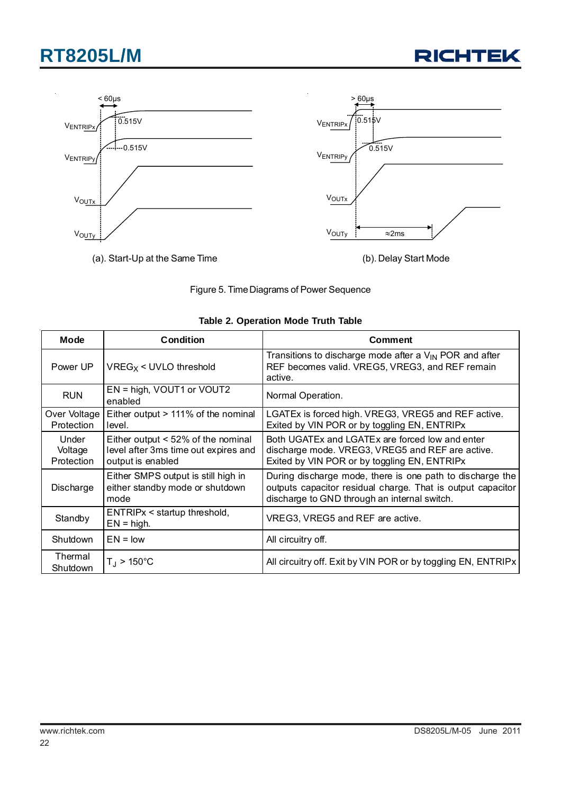



![](_page_21_Figure_3.jpeg)

| <b>Mode</b>                    | Condition                                                                                       | <b>Comment</b>                                                                                                                                                           |
|--------------------------------|-------------------------------------------------------------------------------------------------|--------------------------------------------------------------------------------------------------------------------------------------------------------------------------|
| Power UP                       | $VREG_X$ < UVLO threshold                                                                       | Transitions to discharge mode after a $V_{IN}$ POR and after<br>REF becomes valid. VREG5, VREG3, and REF remain<br>active.                                               |
| <b>RUN</b>                     | EN = high, VOUT1 or VOUT2<br>enabled                                                            | Normal Operation.                                                                                                                                                        |
| Over Voltage<br>Protection     | Either output > 111% of the nominal<br>level.                                                   | LGATEx is forced high. VREG3, VREG5 and REF active.<br>Exited by VIN POR or by toggling EN, ENTRIPx                                                                      |
| Under<br>Voltage<br>Protection | Either output < 52% of the nominal<br>level after 3ms time out expires and<br>output is enabled | Both UGATEx and LGATEx are forced low and enter<br>discharge mode. VREG3, VREG5 and REF are active.<br>Exited by VIN POR or by toggling EN, ENTRIPx                      |
| Discharge                      | Either SMPS output is still high in<br>either standby mode or shutdown<br>mode                  | During discharge mode, there is one path to discharge the<br>outputs capacitor residual charge. That is output capacitor<br>discharge to GND through an internal switch. |
| Standby                        | ENTRIPx < startup threshold,<br>$EN = high$ .                                                   | VREG3, VREG5 and REF are active.                                                                                                                                         |
| <b>Shutdown</b>                | $EN = low$                                                                                      | All circuitry off.                                                                                                                                                       |
| Thermal<br>Shutdown            | $T_{\rm J}$ > 150°C                                                                             | All circuitry off. Exit by VIN POR or by toggling EN, ENTRIPX                                                                                                            |

#### **Table 2. Operation Mode Truth Table**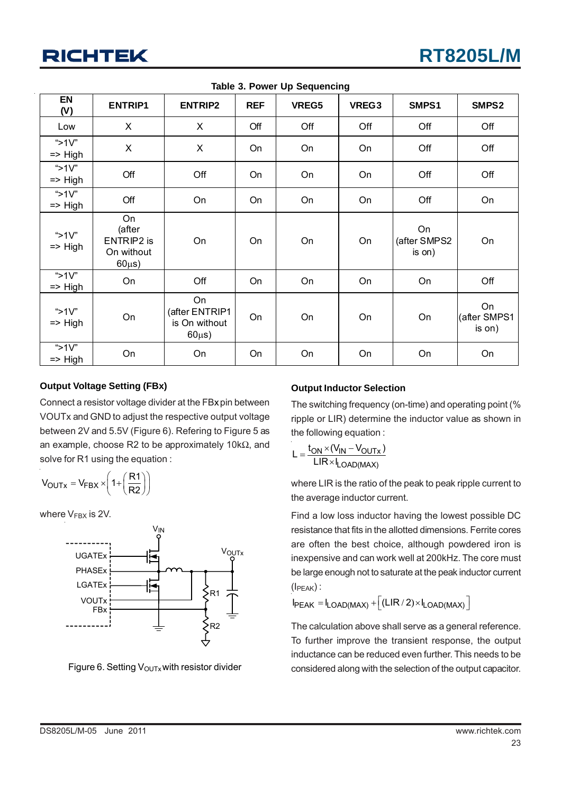| EN<br>(V)                       | <b>ENTRIP1</b>                                                 | <b>ENTRIP2</b>                                       | <b>REF</b> | VREG5 | VREG3 | SMPS1                        | SMPS2                        |
|---------------------------------|----------------------------------------------------------------|------------------------------------------------------|------------|-------|-------|------------------------------|------------------------------|
| Low                             | X                                                              | X                                                    | Off        | Off   | Off   | Off                          | Off                          |
| "> $1V$ "<br>$\Rightarrow$ High | X                                                              | X                                                    | On         | On    | On    | Off                          | Off                          |
| " $>1V$ "<br>$\Rightarrow$ High | Off                                                            | Off                                                  | On         | On    | On    | Off                          | Off                          |
| "> $1V$ "<br>$\Rightarrow$ High | Off                                                            | On                                                   | On         | On    | On    | Off                          | On                           |
| "> $1V$ "<br>$\Rightarrow$ High | On<br>(after<br><b>ENTRIP2</b> is<br>On without<br>$60\mu s$ ) | On                                                   | On         | On    | On    | On<br>(after SMPS2<br>is on) | On                           |
| " $>1V$ "<br>$\Rightarrow$ High | On                                                             | Off                                                  | On         | On    | On    | On                           | Off                          |
| "> $1V$ "<br>$\Rightarrow$ High | On                                                             | On<br>(after ENTRIP1<br>is On without<br>$60\mu s$ ) | On         | On    | On    | On                           | On<br>(after SMPS1<br>is on) |
| "> $1V$ "<br>$\Rightarrow$ High | On                                                             | On                                                   | On         | On    | On    | On                           | On                           |

**Table 3. Power Up Sequencing**

#### **Output Voltage Setting (FBx)**

Connect a resistor voltage divider at the FBxpin between VOUTx and GND to adjust the respective output voltage between 2V and 5.5V (Figure 6). Refering to Figure 5 as an example, choose R2 to be approximately 10kΩ, and solve for R1 using the equation :

$$
V_{OUTx} = V_{FBX} \times \left(1 + \left(\frac{R1}{R2}\right)\right)
$$

where  $V_{\text{FBX}}$  is 2V.

![](_page_22_Figure_8.jpeg)

Figure 6. Setting  $V_{\text{OUTX}}$  with resistor divider

#### **Output Inductor Selection**

The switching frequency (on-time) and operating point (% ripple or LIR) determine the inductor value as shown in the following equation :

$$
L = \frac{t_{ON} \times (V_{IN} - V_{OUTx})}{LIR \times I_{LOAD(MAX)}}
$$

where LIR is the ratio of the peak to peak ripple current to the average inductor current.

Find a low loss inductor having the lowest possible DC resistance that fits in the allotted dimensions. Ferrite cores are often the best choice, although powdered iron is inexpensive and can work well at 200kHz. The core must be large enough not to saturate at the peak inductor current  $(I_{\text{PEAK}})$ :

 $I_{PEAK} = I_{LOAD(MAX)} + \left[ (LIR/2) \times I_{LOAD(MAX)} \right]$ 

The calculation above shall serve as a general reference. To further improve the transient response, the output inductance can be reduced even further. This needs to be considered along with the selection of the output capacitor.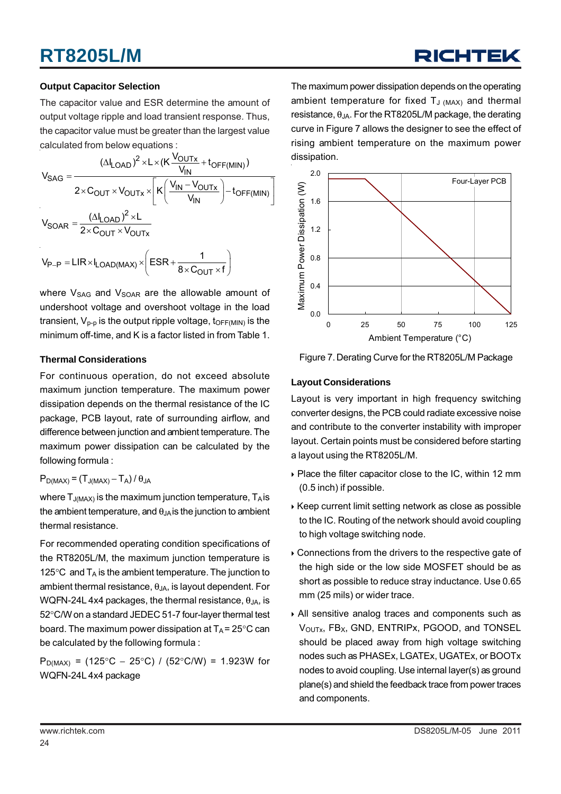#### **Output Capacitor Selection**

The capacitor value and ESR determine the amount of output voltage ripple and load transient response. Thus, the capacitor value must be greater than the largest value calculated from below equations :

$$
V_{SAG} = \frac{(\Delta I_{LOAD})^2 \times L \times (K \frac{V_{OUTX}}{V_{IN}} + t_{OFF(MIN)})}{2 \times C_{OUT} \times V_{OUTX} \times \left[K \left(\frac{V_{IN} - V_{OUTX}}{V_{IN}}\right) - t_{OFF(MIN)}\right]}
$$

$$
V_{SOAR} = \frac{(\Delta I_{LOAD})^2 \times L}{2 \times C_{OUT} \times V_{OUTX}}
$$

$$
V_{P-P} = LIR \times I_{LOAD(MAX)} \times \left(ESR + \frac{1}{8 \times C_{OUT} \times f}\right)
$$

where  $V_{SAG}$  and  $V_{SOAR}$  are the allowable amount of undershoot voltage and overshoot voltage in the load transient,  $V_{p-p}$  is the output ripple voltage,  $t_{\text{OFF(MIN)}}$  is the minimum off-time, and K is a factor listed in from Table 1.

#### **Thermal Considerations**

For continuous operation, do not exceed absolute maximum junction temperature. The maximum power dissipation depends on the thermal resistance of the IC package, PCB layout, rate of surrounding airflow, and difference between junction and ambient temperature. The maximum power dissipation can be calculated by the following formula :

#### $P_{D(MAX)} = (T_{J(MAX)} - T_A)/\theta_{JA}$

where  $T_{J(MAX)}$  is the maximum junction temperature,  $T_A$  is the ambient temperature, and  $\theta_{JA}$  is the junction to ambient thermal resistance.

For recommended operating condition specifications of the RT8205L/M, the maximum junction temperature is 125 $\degree$ C and T<sub>A</sub> is the ambient temperature. The junction to ambient thermal resistance,  $\theta_{JA}$ , is layout dependent. For WQFN-24L 4x4 packages, the thermal resistance,  $\theta_{JA}$ , is 52°C/W on a standard JEDEC 51-7 four-layer thermal test board. The maximum power dissipation at  $T_A$  = 25°C can be calculated by the following formula :

P<sub>D(MAX)</sub> = (125°C − 25°C) / (52°C/W) = 1.923W for WQFN-24L 4x4 package

The maximum power dissipation depends on the operating ambient temperature for fixed  $T_{J (MAX)}$  and thermal resistance,  $\theta_{JA}$ . For the RT8205L/M package, the derating curve in Figure 7 allows the designer to see the effect of rising ambient temperature on the maximum power dissipation.

![](_page_23_Figure_13.jpeg)

Figure 7. Derating Curve for the RT8205L/M Package

#### **Layout Considerations**

Layout is very important in high frequency switching converter designs, the PCB could radiate excessive noise and contribute to the converter instability with improper layout. Certain points must be considered before starting a layout using the RT8205L/M.

- $\triangleright$  Place the filter capacitor close to the IC, within 12 mm (0.5 inch) if possible.
- $\rightarrow$  Keep current limit setting network as close as possible to the IC. Routing of the network should avoid coupling to high voltage switching node.
- $\triangleright$  Connections from the drivers to the respective gate of the high side or the low side MOSFET should be as short as possible to reduce stray inductance. Use 0.65 mm (25 mils) or wider trace.
- ` All sensitive analog traces and components such as V<sub>OUTx</sub>, FB<sub>X</sub>, GND, ENTRIPx, PGOOD, and TONSEL should be placed away from high voltage switching nodes such as PHASEx, LGATEx, UGATEx, or BOOTx nodes to avoid coupling. Use internal layer(s) as ground plane(s) and shield the feedback trace from power traces and components.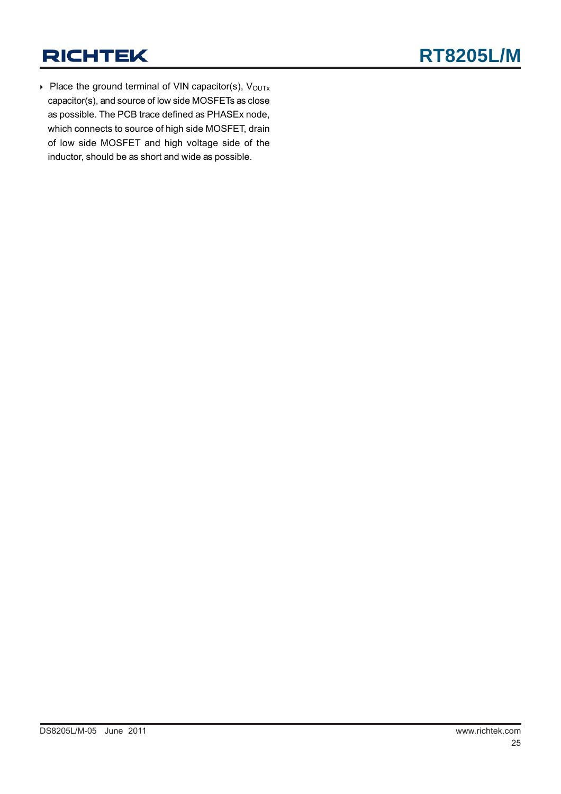$\triangleright$  Place the ground terminal of VIN capacitor(s), V<sub>OUTx</sub> capacitor(s), and source of low side MOSFETs as close as possible. The PCB trace defined as PHASEx node, which connects to source of high side MOSFET, drain of low side MOSFET and high voltage side of the inductor, should be as short and wide as possible.